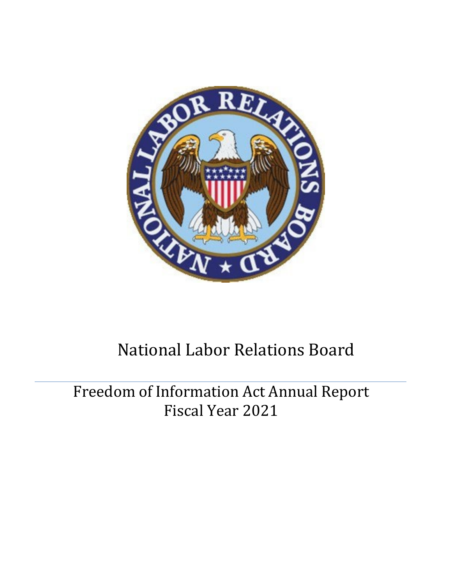

# National Labor Relations Board

Freedom of Information Act Annual Report Fiscal Year 2021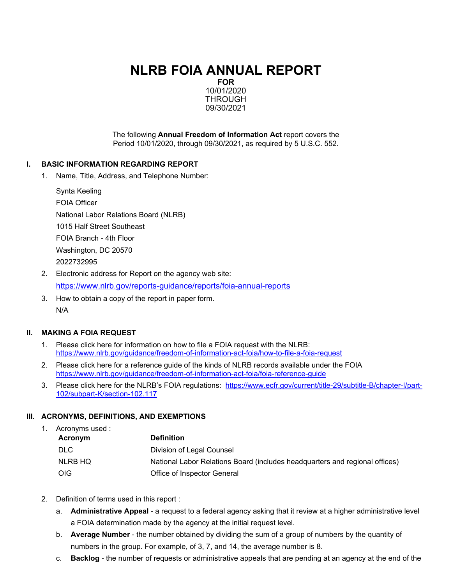# **NLRB FOIA ANNUAL REPORT**

**FOR** 10/01/2020 THROUGH 09/30/2021

The following **Annual Freedom of Information Act** report covers the Period 10/01/2020, through 09/30/2021, as required by 5 U.S.C. 552.

#### **I. BASIC INFORMATION REGARDING REPORT**

1. Name, Title, Address, and Telephone Number:

| Synta Keeling                         |  |
|---------------------------------------|--|
| <b>FOIA Officer</b>                   |  |
| National Labor Relations Board (NLRB) |  |
| 1015 Half Street Southeast            |  |
| FOIA Branch - 4th Floor               |  |
| Washington, DC 20570                  |  |
| 2022732995                            |  |
|                                       |  |

- 2. Electronic address for Report on the agency web site: <https://www.nlrb.gov/reports-guidance/reports/foia-annual-reports>
- 3. How to obtain a copy of the report in paper form. N/A

#### **II. MAKING A FOIA REQUEST**

- 1. Please click here for information on how to file a FOIA request with the NLRB: <https://www.nlrb.gov/guidance/freedom-of-information-act-foia/how-to-file-a-foia-request>
- 2. Please click here for a reference guide of the kinds of NLRB records available under the FOIA <https://www.nlrb.gov/guidance/freedom-of-information-act-foia/foia-reference-guide>
- 3. Please click here for the NLRB's FOIA regulations: [https://www.ecfr.gov/current/title-29/subtitle-B/chapter-I/part-](https://www.ecfr.gov/current/title-29/subtitle-B/chapter-I/part-102/subpart-K/section-102.117)[102/subpart-K/section-102.117](https://www.ecfr.gov/current/title-29/subtitle-B/chapter-I/part-102/subpart-K/section-102.117)

#### **III. ACRONYMS, DEFINITIONS, AND EXEMPTIONS**

1. Acronyms used :

| <b>Definition</b>                                                           |
|-----------------------------------------------------------------------------|
| Division of Legal Counsel                                                   |
| National Labor Relations Board (includes headquarters and regional offices) |
| Office of Inspector General                                                 |
|                                                                             |

- 2. Definition of terms used in this report :
	- a. **Administrative Appeal**  a request to a federal agency asking that it review at a higher administrative level a FOIA determination made by the agency at the initial request level.
	- b. **Average Number**  the number obtained by dividing the sum of a group of numbers by the quantity of numbers in the group. For example, of 3, 7, and 14, the average number is 8.
	- c. **Backlog**  the number of requests or administrative appeals that are pending at an agency at the end of the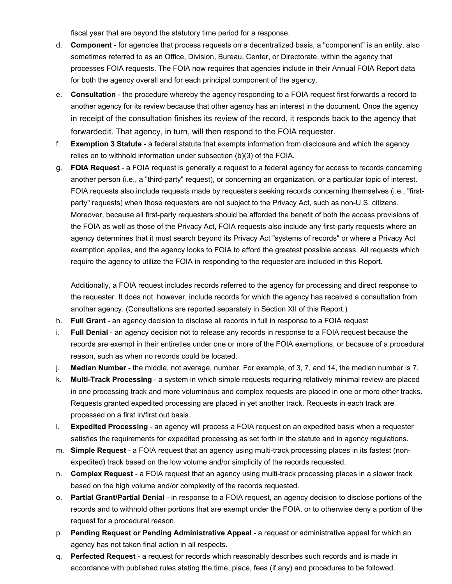fiscal year that are beyond the statutory time period for a response.

- d. **Component**  for agencies that process requests on a decentralized basis, a "component" is an entity, also sometimes referred to as an Office, Division, Bureau, Center, or Directorate, within the agency that processes FOIA requests. The FOIA now requires that agencies include in their Annual FOIA Report data for both the agency overall and for each principal component of the agency.
- e. **Consultation**  the procedure whereby the agency responding to a FOIA request first forwards a record to another agency for its review because that other agency has an interest in the document. Once the agency in receipt of the consultation finishes its review of the record, it responds back to the agency that forwardedit. That agency, in turn, will then respond to the FOIA requester.
- f. **Exemption 3 Statute**  a federal statute that exempts information from disclosure and which the agency relies on to withhold information under subsection (b)(3) of the FOIA.
- g. **FOIA Request**  a FOIA request is generally a request to a federal agency for access to records concerning another person (i.e., a "third-party" request), or concerning an organization, or a particular topic of interest. FOIA requests also include requests made by requesters seeking records concerning themselves (i.e., "firstparty" requests) when those requesters are not subject to the Privacy Act, such as non-U.S. citizens. Moreover, because all first-party requesters should be afforded the benefit of both the access provisions of the FOIA as well as those of the Privacy Act, FOIA requests also include any first-party requests where an agency determines that it must search beyond its Privacy Act "systems of records" or where a Privacy Act exemption applies, and the agency looks to FOIA to afford the greatest possible access. All requests which require the agency to utilize the FOIA in responding to the requester are included in this Report.

Additionally, a FOIA request includes records referred to the agency for processing and direct response to the requester. It does not, however, include records for which the agency has received a consultation from another agency. (Consultations are reported separately in Section XII of this Report.)

- h. **Full Grant**  an agency decision to disclose all records in full in response to a FOIA request
- i. **Full Denial**  an agency decision not to release any records in response to a FOIA request because the records are exempt in their entireties under one or more of the FOIA exemptions, or because of a procedural reason, such as when no records could be located.
- j. **Median Number**  the middle, not average, number. For example, of 3, 7, and 14, the median number is 7.
- k. **Multi-Track Processing**  a system in which simple requests requiring relatively minimal review are placed in one processing track and more voluminous and complex requests are placed in one or more other tracks. Requests granted expedited processing are placed in yet another track. Requests in each track are processed on a first in/first out basis.
- l. **Expedited Processing**  an agency will process a FOIA request on an expedited basis when a requester satisfies the requirements for expedited processing as set forth in the statute and in agency regulations.
- m. **Simple Request**  a FOIA request that an agency using multi-track processing places in its fastest (nonexpedited) track based on the low volume and/or simplicity of the records requested.
- n. **Complex Request**  a FOIA request that an agency using multi-track processing places in a slower track based on the high volume and/or complexity of the records requested.
- o. **Partial Grant/Partial Denial**  in response to a FOIA request, an agency decision to disclose portions of the records and to withhold other portions that are exempt under the FOIA, or to otherwise deny a portion of the request for a procedural reason.
- p. **Pending Request or Pending Administrative Appeal**  a request or administrative appeal for which an agency has not taken final action in all respects.
- q. **Perfected Request**  a request for records which reasonably describes such records and is made in accordance with published rules stating the time, place, fees (if any) and procedures to be followed.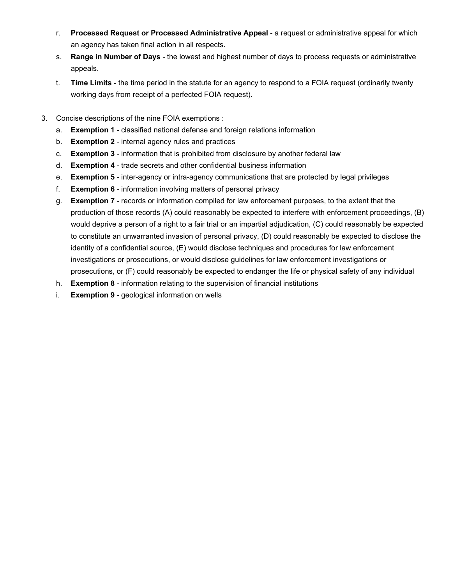- r. **Processed Request or Processed Administrative Appeal**  a request or administrative appeal for which an agency has taken final action in all respects.
- s. **Range in Number of Days**  the lowest and highest number of days to process requests or administrative appeals.
- t. **Time Limits**  the time period in the statute for an agency to respond to a FOIA request (ordinarily twenty working days from receipt of a perfected FOIA request).
- 3. Concise descriptions of the nine FOIA exemptions :
	- a. **Exemption 1**  classified national defense and foreign relations information
	- b. **Exemption 2**  internal agency rules and practices
	- c. **Exemption 3**  information that is prohibited from disclosure by another federal law
	- d. **Exemption 4**  trade secrets and other confidential business information
	- e. **Exemption 5**  inter-agency or intra-agency communications that are protected by legal privileges
	- f. **Exemption 6**  information involving matters of personal privacy
	- g. **Exemption 7**  records or information compiled for law enforcement purposes, to the extent that the production of those records (A) could reasonably be expected to interfere with enforcement proceedings, (B) would deprive a person of a right to a fair trial or an impartial adjudication, (C) could reasonably be expected to constitute an unwarranted invasion of personal privacy, (D) could reasonably be expected to disclose the identity of a confidential source, (E) would disclose techniques and procedures for law enforcement investigations or prosecutions, or would disclose guidelines for law enforcement investigations or prosecutions, or (F) could reasonably be expected to endanger the life or physical safety of any individual
	- h. **Exemption 8**  information relating to the supervision of financial institutions
	- i. **Exemption 9**  geological information on wells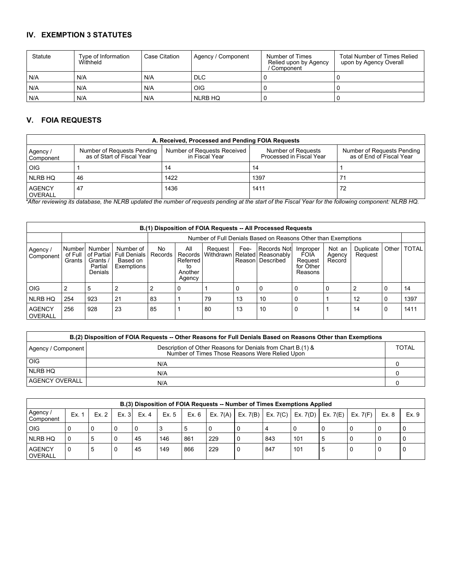# **IV. EXEMPTION 3 STATUTES**

| Statute | Type of Information<br>Withheld | Case Citation | Agency / Component | Number of Times<br>Relied upon by Agency<br>' Component | <b>Total Number of Times Relied</b><br>upon by Agency Overall |
|---------|---------------------------------|---------------|--------------------|---------------------------------------------------------|---------------------------------------------------------------|
| N/A     | N/A                             | N/A           | <b>DLC</b>         |                                                         |                                                               |
| N/A     | N/A                             | N/A           | <b>OIG</b>         |                                                         |                                                               |
| N/A     | N/A                             | N/A           | NLRB HQ            |                                                         |                                                               |

#### **V. FOIA REQUESTS**

| A. Received, Processed and Pending FOIA Requests |                                                          |                                               |                                                |                                                        |  |  |  |  |  |  |  |
|--------------------------------------------------|----------------------------------------------------------|-----------------------------------------------|------------------------------------------------|--------------------------------------------------------|--|--|--|--|--|--|--|
| Agency /<br>Component                            | Number of Requests Pending<br>as of Start of Fiscal Year | Number of Requests Received<br>in Fiscal Year | Number of Requests<br>Processed in Fiscal Year | Number of Requests Pending<br>as of End of Fiscal Year |  |  |  |  |  |  |  |
| <b>OIG</b>                                       |                                                          | 14                                            | -14                                            |                                                        |  |  |  |  |  |  |  |
| NLRB HQ                                          | 46                                                       | 1422                                          | 1397                                           |                                                        |  |  |  |  |  |  |  |
| <b>AGENCY</b><br><b>OVERALL</b>                  | 47                                                       | 1436                                          | 1411                                           |                                                        |  |  |  |  |  |  |  |

*\*After reviewing its database, the NLRB updated the number of requests pending at the start of the Fiscal Year for the following component: NLRB HQ.*

|                                 | B.(1) Disposition of FOIA Requests -- All Processed Requests |                                                        |                                                            |                |                                                               |                      |      |                                                       |                                                     |                            |                      |       |              |
|---------------------------------|--------------------------------------------------------------|--------------------------------------------------------|------------------------------------------------------------|----------------|---------------------------------------------------------------|----------------------|------|-------------------------------------------------------|-----------------------------------------------------|----------------------------|----------------------|-------|--------------|
|                                 |                                                              |                                                        |                                                            |                | Number of Full Denials Based on Reasons Other than Exemptions |                      |      |                                                       |                                                     |                            |                      |       |              |
| Agency /<br>Component           | Number<br>of Full<br>Grants                                  | Number<br>of Partial<br>Grants /<br>Partial<br>Denials | Number of<br><b>Full Denials</b><br>Based on<br>Exemptions | No.<br>Records | All<br>Records<br>Referred<br>to<br>Another<br>Agency         | Request<br>Withdrawn | Fee- | Records Not<br>Related Reasonably<br>Reason Described | Improper<br>FOIA<br>Reguest<br>for Other<br>Reasons | Not an<br>Agency<br>Record | Duplicate<br>Request | Other | <b>TOTAL</b> |
| <b>OIG</b>                      |                                                              |                                                        |                                                            |                | 0                                                             |                      |      |                                                       |                                                     |                            |                      |       | 14           |
| NLRB HQ                         | 254                                                          | 923                                                    | 21                                                         | 83             |                                                               | 79                   | 13   | 10                                                    |                                                     |                            | 12                   |       | 1397         |
| <b>AGENCY</b><br><b>OVERALL</b> | 256                                                          | 928                                                    | 23                                                         | 85             |                                                               | 80                   | 13   | 10                                                    |                                                     |                            | 14                   |       | 1411         |

| B.(2) Disposition of FOIA Requests -- Other Reasons for Full Denials Based on Reasons Other than Exemptions |                                                                                                               |       |  |  |  |  |  |  |  |
|-------------------------------------------------------------------------------------------------------------|---------------------------------------------------------------------------------------------------------------|-------|--|--|--|--|--|--|--|
| Agency / Component                                                                                          | Description of Other Reasons for Denials from Chart B.(1) &<br>Number of Times Those Reasons Were Relied Upon | TOTAL |  |  |  |  |  |  |  |
| OIG                                                                                                         | N/A                                                                                                           |       |  |  |  |  |  |  |  |
| NLRB HQ                                                                                                     | N/A                                                                                                           |       |  |  |  |  |  |  |  |
| AGENCY OVERALL                                                                                              | N/A                                                                                                           |       |  |  |  |  |  |  |  |

|                                 | B.(3) Disposition of FOIA Requests -- Number of Times Exemptions Applied |      |      |      |       |       |            |            |     |                                |   |          |       |       |
|---------------------------------|--------------------------------------------------------------------------|------|------|------|-------|-------|------------|------------|-----|--------------------------------|---|----------|-------|-------|
| Agency /<br>l Component         | Ex.                                                                      | Ex.2 | Ex.3 | Ex.4 | Ex. 5 | Ex. 6 | Ex. $7(A)$ | Ex. $7(B)$ |     | Ex. 7(C)   Ex. 7(D)   Ex. 7(E) |   | Ex. 7(F) | Ex. 8 | Ex. 9 |
| <b>OIG</b>                      |                                                                          | 0    |      | 0    |       |       | 0          |            |     | 0                              |   |          |       |       |
| <b>NLRB HQ</b>                  | 0                                                                        | -5   |      | 45   | 146   | 861   | 229        |            | 843 | 101                            | 5 |          |       |       |
| <b>AGENCY</b><br><b>OVERALL</b> | 0                                                                        | 5    |      | 45   | 149   | 866   | 229        | ı 0        | 847 | 101                            | 5 |          |       |       |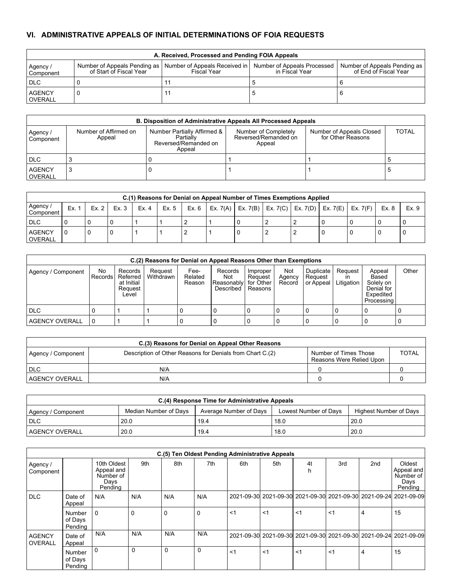# **VI. ADMINISTRATIVE APPEALS OF INITIAL DETERMINATIONS OF FOIA REQUESTS**

|                          | A. Received, Processed and Pending FOIA Appeals |                                                                                                           |                |                                                       |  |  |  |  |  |  |  |  |
|--------------------------|-------------------------------------------------|-----------------------------------------------------------------------------------------------------------|----------------|-------------------------------------------------------|--|--|--|--|--|--|--|--|
| Agency /<br>Component    | of Start of Fiscal Year                         | Number of Appeals Pending as   Number of Appeals Received in   Number of Appeals Processed<br>Fiscal Year | in Fiscal Year | Number of Appeals Pending as<br>of End of Fiscal Year |  |  |  |  |  |  |  |  |
| <b>DLC</b>               |                                                 |                                                                                                           |                |                                                       |  |  |  |  |  |  |  |  |
| <b>AGENCY</b><br>OVERALL |                                                 |                                                                                                           |                |                                                       |  |  |  |  |  |  |  |  |

|                          | <b>B. Disposition of Administrative Appeals All Processed Appeals</b> |                                                                            |                                                        |                                               |              |  |  |  |  |  |  |  |  |
|--------------------------|-----------------------------------------------------------------------|----------------------------------------------------------------------------|--------------------------------------------------------|-----------------------------------------------|--------------|--|--|--|--|--|--|--|--|
| Agency /<br>Component    | Number of Affirmed on<br>Appeal                                       | Number Partially Affirmed &<br>Partially<br>Reversed/Remanded on<br>Appeal | Number of Completely<br>Reversed/Remanded on<br>Appeal | Number of Appeals Closed<br>for Other Reasons | <b>TOTAL</b> |  |  |  |  |  |  |  |  |
| <b>DLC</b>               |                                                                       |                                                                            |                                                        |                                               |              |  |  |  |  |  |  |  |  |
| <b>AGENCY</b><br>OVERALL | З                                                                     |                                                                            |                                                        |                                               |              |  |  |  |  |  |  |  |  |

|                          | C.(1) Reasons for Denial on Appeal Number of Times Exemptions Applied |       |      |       |       |         |  |  |  |  |                                                      |            |       |       |
|--------------------------|-----------------------------------------------------------------------|-------|------|-------|-------|---------|--|--|--|--|------------------------------------------------------|------------|-------|-------|
| Agency /<br>Component    | Ex.                                                                   | Ex. 2 | Ex.3 | Ex. 4 | Ex. 5 | Ex. 6 I |  |  |  |  | Ex. 7(A)   Ex. 7(B)   Ex. 7(C)   Ex. 7(D)   Ex. 7(E) | Ex. $7(F)$ | Ex. 8 | Ex. 9 |
| <b>DLC</b>               |                                                                       |       |      |       |       |         |  |  |  |  |                                                      |            |       |       |
| <b>AGENCY</b><br>OVERALL |                                                                       |       |      |       |       |         |  |  |  |  |                                                      |            |       |       |

|                       | C.(2) Reasons for Denial on Appeal Reasons Other than Exemptions |                                                       |                      |                           |                                                      |                                |                         |                                   |                       |                                                                           |       |  |
|-----------------------|------------------------------------------------------------------|-------------------------------------------------------|----------------------|---------------------------|------------------------------------------------------|--------------------------------|-------------------------|-----------------------------------|-----------------------|---------------------------------------------------------------------------|-------|--|
| Agency / Component    | No<br>Records                                                    | Records<br>Referred<br>at Initial<br>Reguest<br>Level | Reguest<br>Withdrawn | Fee-<br>Related<br>Reason | Records<br>Not<br>Reasonablyl for Other<br>Described | Improper<br>Reguest<br>Reasons | Not<br>Agency<br>Record | Duplicate<br>Request<br>or Appeal | Reguest<br>Litigation | Appeal<br>Based<br>Solely on<br>Denial for<br>Expedited<br>I Processing I | Other |  |
| DLC                   |                                                                  |                                                       |                      |                           |                                                      |                                |                         |                                   |                       |                                                                           |       |  |
| <b>AGENCY OVERALL</b> | l 0                                                              |                                                       |                      |                           |                                                      |                                |                         |                                   |                       |                                                                           |       |  |

| C.(3) Reasons for Denial on Appeal Other Reasons |                                                           |                                                   |              |  |  |  |  |  |  |  |  |
|--------------------------------------------------|-----------------------------------------------------------|---------------------------------------------------|--------------|--|--|--|--|--|--|--|--|
| Agency / Component                               | Description of Other Reasons for Denials from Chart C.(2) | Number of Times Those<br>Reasons Were Relied Upon | <b>TOTAL</b> |  |  |  |  |  |  |  |  |
| <b>DLC</b>                                       | N/A                                                       |                                                   |              |  |  |  |  |  |  |  |  |
| <b>AGENCY OVERALL</b>                            | N/A                                                       |                                                   |              |  |  |  |  |  |  |  |  |

| C.(4) Response Time for Administrative Appeals |                              |                        |                       |                        |  |  |  |  |  |  |
|------------------------------------------------|------------------------------|------------------------|-----------------------|------------------------|--|--|--|--|--|--|
| Agency / Component                             | Median Number of Davs        | Average Number of Days | Lowest Number of Days | Highest Number of Days |  |  |  |  |  |  |
| <b>DLC</b>                                     | 20.0                         | 19.4                   | 18.0                  | 20.0                   |  |  |  |  |  |  |
| <b>LAGENCY OVERALL</b>                         | 20.0<br>20.0<br>19.4<br>18.0 |                        |                       |                        |  |  |  |  |  |  |

|                          | C.(5) Ten Oldest Pending Administrative Appeals |                                                           |     |          |          |       |       |                                                                   |       |                 |                                                                   |  |
|--------------------------|-------------------------------------------------|-----------------------------------------------------------|-----|----------|----------|-------|-------|-------------------------------------------------------------------|-------|-----------------|-------------------------------------------------------------------|--|
| Agency /<br>Component    |                                                 | 10th Oldest<br>Appeal and<br>Number of<br>Davs<br>Pending | 9th | 8th      | 7th      | 6th   | 5th   | 4t                                                                | 3rd   | 2 <sub>nd</sub> | Oldest<br>Appeal and<br>Number of<br>Davs<br>Pending              |  |
| <b>DLC</b>               | Date of<br>Appeal                               | N/A                                                       | N/A | N/A      | N/A      |       |       | 2021-09-30 2021-09-30 2021-09-30 2021-09-30 2021-09-24 2021-09-09 |       |                 |                                                                   |  |
|                          | Number<br>of Days<br>Pending                    | 0                                                         | 0   | $\Omega$ | $\Omega$ | $<$ 1 | $<$ 1 | $<$ 1                                                             | $<$ 1 | 4               | 15                                                                |  |
| <b>AGENCY</b><br>OVERALL | Date of<br>Appeal                               | N/A                                                       | N/A | N/A      | N/A      |       |       |                                                                   |       |                 | 2021-09-30 2021-09-30 2021-09-30 2021-09-30 2021-09-24 2021-09-09 |  |
|                          | Number<br>of Days<br>Pendina                    | 0                                                         | 0   | 0        | 0        | $<$ 1 | <1    | $<$ 1                                                             | $<$ 1 | 4               | 15                                                                |  |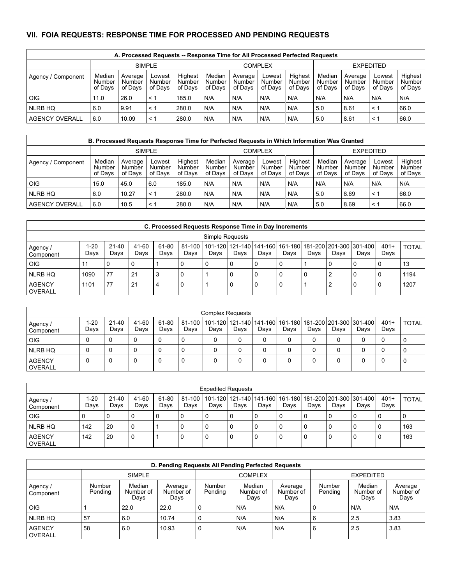## **VII. FOIA REQUESTS: RESPONSE TIME FOR PROCESSED AND PENDING REQUESTS**

| A. Processed Requests -- Response Time for All Processed Perfected Requests |                             |                                 |                             |                              |                             |                              |                             |                              |                             |                              |                             |                              |
|-----------------------------------------------------------------------------|-----------------------------|---------------------------------|-----------------------------|------------------------------|-----------------------------|------------------------------|-----------------------------|------------------------------|-----------------------------|------------------------------|-----------------------------|------------------------------|
|                                                                             |                             | <b>SIMPLE</b><br><b>COMPLEX</b> |                             |                              |                             |                              |                             |                              | <b>EXPEDITED</b>            |                              |                             |                              |
| Agency / Component                                                          | Median<br>Number<br>of Davs | Average<br>Number<br>of Davs    | Lowest<br>Number<br>of Davs | Highest<br>Number<br>of Davs | Median<br>Number<br>of Davs | Average<br>Number<br>of Davs | Lowest<br>Number<br>of Davs | Highest<br>Number<br>of Davs | Median<br>Number<br>of Davs | Average<br>Number<br>of Davs | Lowest<br>Number<br>of Davs | Highest<br>Number<br>of Davs |
| <b>OIG</b>                                                                  | 11.0                        | 26.0                            | < 1                         | 185.0                        | N/A                         | N/A                          | N/A                         | N/A                          | N/A                         | N/A                          | N/A                         | N/A                          |
| NLRB HQ                                                                     | 6.0                         | 9.91                            | < 1                         | 280.0                        | N/A                         | N/A                          | N/A                         | N/A                          | 5.0                         | 8.61                         | $\leq$ 1                    | 66.0                         |
| <b>AGENCY OVERALL</b>                                                       | 6.0                         | 10.09                           | < 1                         | 280.0                        | N/A                         | N/A                          | N/A                         | N/A                          | 5.0                         | 8.61                         | $\leq$ 1                    | 66.0                         |

| B. Processed Requests Response Time for Perfected Requests in Which Information Was Granted |                             |                              |                             |                              |                             |                              |                             |                                     |                             |                              |                             |                              |
|---------------------------------------------------------------------------------------------|-----------------------------|------------------------------|-----------------------------|------------------------------|-----------------------------|------------------------------|-----------------------------|-------------------------------------|-----------------------------|------------------------------|-----------------------------|------------------------------|
|                                                                                             |                             |                              | <b>SIMPLE</b>               |                              | <b>COMPLEX</b>              |                              |                             |                                     | <b>EXPEDITED</b>            |                              |                             |                              |
| Agency / Component                                                                          | Median<br>Number<br>of Davs | Average<br>Number<br>of Davs | Lowest<br>Number<br>of Davs | Highest<br>Number<br>of Davs | Median<br>Number<br>of Davs | Average<br>Number<br>of Davs | Lowest<br>Number<br>of Davs | Highest<br><b>Number</b><br>of Davs | Median<br>Number<br>of Davs | Average<br>Number<br>of Davs | Lowest<br>Number<br>of Davs | Highest<br>Number<br>of Davs |
| <b>OIG</b>                                                                                  | 15.0                        | 45.0                         | 6.0                         | 185.0                        | N/A                         | N/A                          | N/A                         | N/A                                 | N/A                         | N/A                          | N/A                         | N/A                          |
| NLRB HQ                                                                                     | 6.0                         | 10.27                        | ← 1                         | 280.0                        | N/A                         | N/A                          | N/A                         | N/A                                 | 5.0                         | 8.69                         | $\leq$ 1                    | 66.0                         |
| AGENCY OVERALL                                                                              | 6.0                         | 10.5                         | < 1                         | 280.0                        | N/A                         | N/A                          | N/A                         | N/A                                 | 5.0                         | 8.69                         | $\leq$ 1                    | 66.0                         |

| C. Processed Requests Response Time in Day Increments |                 |                   |               |               |                    |      |      |      |      |      |      |                                                                 |                |              |
|-------------------------------------------------------|-----------------|-------------------|---------------|---------------|--------------------|------|------|------|------|------|------|-----------------------------------------------------------------|----------------|--------------|
|                                                       | Simple Requests |                   |               |               |                    |      |      |      |      |      |      |                                                                 |                |              |
| Agency /<br>Component                                 | 1-20<br>Days    | $21 - 40$<br>Days | 41-60<br>Days | 61-80<br>Days | $81 - 100$<br>Days | Days | Days | Davs | Davs | Days | Days | 101-120 121-140 141-160 161-180 181-200 201-300 301-400<br>Days | $401+$<br>Days | <b>TOTAL</b> |
| OIG                                                   | 11              |                   |               |               |                    |      |      |      |      |      |      |                                                                 |                | 13           |
| I NLRB HQ                                             | 1090            | 77                | 21            | -3            |                    |      |      |      |      | υ    |      |                                                                 |                | 1194         |
| <b>AGENCY</b><br><b>OVERALL</b>                       | 1101            | 77                | 21            | 4             | J.                 |      | 0    |      | U    |      |      | 0                                                               | u              | 1207         |

|                          | <b>Complex Requests</b> |                   |               |               |      |      |      |      |      |      |      |                                                                                        |                |              |
|--------------------------|-------------------------|-------------------|---------------|---------------|------|------|------|------|------|------|------|----------------------------------------------------------------------------------------|----------------|--------------|
| Agency /<br>Component    | 1-20<br>Days            | $21 - 40$<br>Days | 41-60<br>Days | 61-80<br>Days | Days | Days | Days | Days | Days | Days | Days | 81-100   101-120   121-140   141-160   161-180   181-200   201-300   301-400  <br>Days | $401+$<br>Days | <b>TOTAL</b> |
| <b>OIG</b>               |                         |                   | 0             |               |      |      | 0    |      |      |      | 0    |                                                                                        |                |              |
| NLRB HQ                  |                         |                   | U             |               | 0    |      | 0    |      |      |      | 0    |                                                                                        |                |              |
| <b>AGENCY</b><br>OVERALL |                         |                   | ∿             |               |      |      |      |      |      |      |      |                                                                                        |                |              |

|                          | <b>Expedited Requests</b> |               |               |               |      |      |      |      |      |      |      |                                                                                        |                |              |
|--------------------------|---------------------------|---------------|---------------|---------------|------|------|------|------|------|------|------|----------------------------------------------------------------------------------------|----------------|--------------|
| Agency /<br>Component    | 1-20<br>Days              | 21-40<br>Days | 41-60<br>Davs | 61-80<br>Days | Days | Days | Days | Days | Days | Days | Days | 81-100   101-120   121-140   141-160   161-180   181-200   201-300   301-400  <br>Davs | $401+$<br>Days | <b>TOTAL</b> |
| OIG                      |                           |               |               | 0             |      |      | 0    |      | 0    |      |      |                                                                                        | l 0            |              |
| NLRB HQ                  | 142                       | 20            |               |               |      |      | 0    |      | 0    |      |      |                                                                                        | l 0            | 163          |
| <b>AGENCY</b><br>OVERALL | 142                       | 20            |               |               |      |      | 0    |      | 0    |      |      |                                                                                        | -0             | 163          |

| D. Pending Requests All Pending Perfected Requests |                   |                             |                              |                   |                             |                              |                   |                             |                              |  |  |
|----------------------------------------------------|-------------------|-----------------------------|------------------------------|-------------------|-----------------------------|------------------------------|-------------------|-----------------------------|------------------------------|--|--|
|                                                    |                   | <b>SIMPLE</b>               |                              |                   | <b>COMPLEX</b>              |                              | <b>EXPEDITED</b>  |                             |                              |  |  |
| Agency /<br>Component                              | Number<br>Pending | Median<br>Number of<br>Days | Average<br>Number of<br>Days | Number<br>Pending | Median<br>Number of<br>Days | Average<br>Number of<br>Days | Number<br>Pending | Median<br>Number of<br>Days | Average<br>Number of<br>Days |  |  |
| <b>OIG</b>                                         |                   | 22.0                        | 22.0                         |                   | N/A                         | N/A                          |                   | N/A                         | N/A                          |  |  |
| NLRB HQ                                            | 57                | 6.0                         | 10.74                        |                   | N/A                         | N/A                          | 6                 | 2.5                         | 3.83                         |  |  |
| <b>AGENCY</b><br><b>OVERALL</b>                    | 58                | 6.0                         | 10.93                        | -O                | N/A                         | N/A                          | 6                 | 2.5                         | 3.83                         |  |  |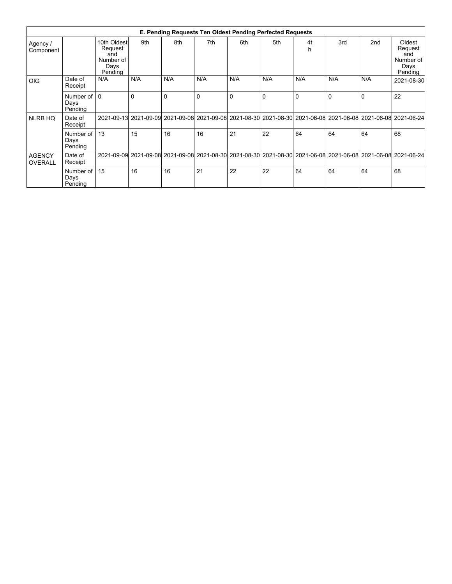| E. Pending Requests Ten Oldest Pending Perfected Requests |                                 |                                                               |                                                                                                               |     |          |          |              |          |          |     |                                                          |
|-----------------------------------------------------------|---------------------------------|---------------------------------------------------------------|---------------------------------------------------------------------------------------------------------------|-----|----------|----------|--------------|----------|----------|-----|----------------------------------------------------------|
| Agency /<br>Component                                     |                                 | 10th Oldest<br>Request<br>and<br>Number of<br>Days<br>Pendina | 9th                                                                                                           | 8th | 7th      | 6th      | 5th          | 4t<br>h  | 3rd      | 2nd | Oldest<br>Request<br>and<br>Number of<br>Days<br>Pending |
| <b>OIG</b>                                                | Date of<br>Receipt              | N/A                                                           | N/A                                                                                                           | N/A | N/A      | N/A      | N/A          | N/A      | N/A      | N/A | 2021-08-30                                               |
|                                                           | Number of 10<br>Days<br>Pending |                                                               | $\Omega$                                                                                                      | 0   | $\Omega$ | $\Omega$ | $\mathbf{0}$ | $\Omega$ | $\Omega$ | 0   | 22                                                       |
| <b>NLRB HQ</b>                                            | Date of<br>Receipt              |                                                               | 2021-09-13 2021-09-09 2021-09-08 2021-09-08 2021-08-30 2021-08-30 2021-06-08 2021-06-08 2021-06-08 2021-06-08 |     |          |          |              |          |          |     |                                                          |
|                                                           | Number of<br>Days<br>Pending    | 13                                                            | 15                                                                                                            | 16  | 16       | 21       | 22           | 64       | 64       | 64  | 68                                                       |
| <b>AGENCY</b><br><b>OVERALL</b>                           | Date of<br>Receipt              |                                                               | 2021-09-09 2021-09-08 2021-09-08 2021-08-30 2021-08-30 2021-08-30 2021-06-08 2021-06-08 2021-06-08 2021-06-24 |     |          |          |              |          |          |     |                                                          |
|                                                           | Number of<br>Days<br>Pending    | 15                                                            | 16                                                                                                            | 16  | 21       | 22       | 22           | 64       | 64       | 64  | 68                                                       |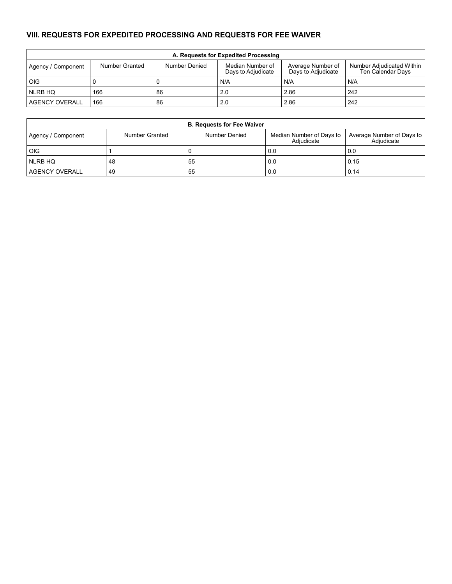# **VIII. REQUESTS FOR EXPEDITED PROCESSING AND REQUESTS FOR FEE WAIVER**

| A. Requests for Expedited Processing |                |               |                                        |                                         |                                                |  |  |  |  |  |
|--------------------------------------|----------------|---------------|----------------------------------------|-----------------------------------------|------------------------------------------------|--|--|--|--|--|
| Agency / Component                   | Number Granted | Number Denied | Median Number of<br>Days to Adjudicate | Average Number of<br>Days to Adjudicate | Number Adjudicated Within<br>Ten Calendar Davs |  |  |  |  |  |
| <b>OIG</b>                           | - 0            |               | N/A                                    | N/A                                     | N/A                                            |  |  |  |  |  |
| NLRB HQ                              | 166            | 86            | 2.0                                    | 2.86                                    | 242                                            |  |  |  |  |  |
| <b>AGENCY OVERALL</b>                | 166            | 86            | 2.0                                    | 2.86                                    | 242                                            |  |  |  |  |  |

| <b>B. Requests for Fee Waiver</b> |                       |               |                                        |                                         |  |  |  |  |  |  |
|-----------------------------------|-----------------------|---------------|----------------------------------------|-----------------------------------------|--|--|--|--|--|--|
| Agency / Component                | <b>Number Granted</b> | Number Denied | Median Number of Days to<br>Adiudicate | Average Number of Days to<br>Adiudicate |  |  |  |  |  |  |
| OIG                               |                       |               | 0.0                                    | 0.0                                     |  |  |  |  |  |  |
| NLRB HQ                           | 48                    | 55            | 0.0                                    | 0.15                                    |  |  |  |  |  |  |
| <b>AGENCY OVERALL</b>             | 49                    | 55            | 0.0                                    | 0.14                                    |  |  |  |  |  |  |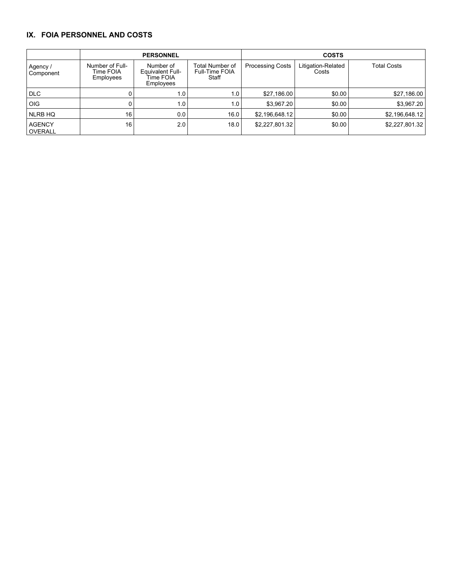### **IX. FOIA PERSONNEL AND COSTS**

|                            |                                           | <b>PERSONNEL</b>                                        |                                                   | <b>COSTS</b>            |                             |                    |  |  |
|----------------------------|-------------------------------------------|---------------------------------------------------------|---------------------------------------------------|-------------------------|-----------------------------|--------------------|--|--|
| Agency /<br>Component      | Number of Full-<br>Time FOIA<br>Employees | Number of<br>Equivalent Full-<br>Time FOIA<br>Employees | Total Number of<br><b>Full-Time FOIA</b><br>Staff | <b>Processing Costs</b> | Litigation-Related<br>Costs | <b>Total Costs</b> |  |  |
| <b>DLC</b>                 |                                           | 1.0 <sub>1</sub>                                        | 1.0 <sub>1</sub>                                  | \$27,186.00             | \$0.00                      | \$27,186.00        |  |  |
| <b>OIG</b>                 |                                           | 1.0 <sub>1</sub>                                        | 1.0                                               | \$3,967.20              | \$0.00                      | \$3,967.20         |  |  |
| NLRB HQ                    | 16                                        | 0.0                                                     | 16.0                                              | \$2,196,648.12          | \$0.00                      | \$2,196,648.12     |  |  |
| <b>AGENCY</b><br>l OVERALL | 16                                        | 2.0                                                     | 18.0                                              | \$2,227,801.32          | \$0.00                      | \$2,227,801.32     |  |  |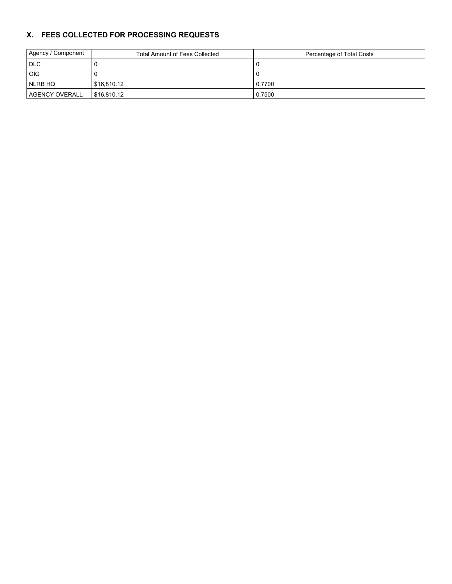## **X. FEES COLLECTED FOR PROCESSING REQUESTS**

| Agency / Component    | <b>Total Amount of Fees Collected</b> | Percentage of Total Costs |
|-----------------------|---------------------------------------|---------------------------|
| <b>DLC</b>            |                                       |                           |
| <b>OIG</b>            |                                       |                           |
| NLRB HQ               | \$16,810.12                           | 0.7700                    |
| <b>AGENCY OVERALL</b> | \$16,810.12                           | 0.7500                    |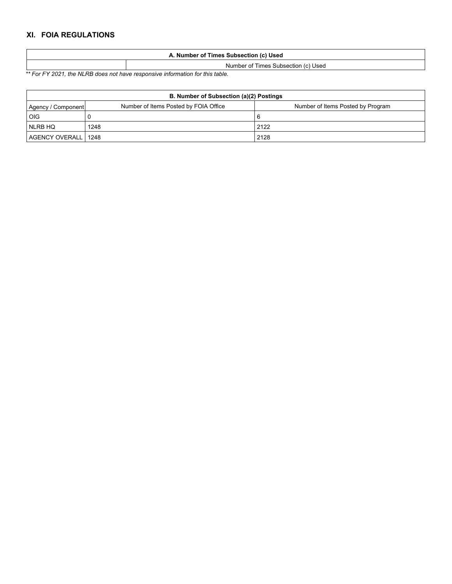# **XI. FOIA REGULATIONS**

| Number of Times Subsection (c) Used |                                     |  |  |
|-------------------------------------|-------------------------------------|--|--|
|                                     | Number of Times Subsection (c) Used |  |  |

*\*\* For FY 2021, the NLRB does not have responsive information for this table.*

| B. Number of Subsection (a)(2) Postings                                                          |      |      |  |  |  |  |
|--------------------------------------------------------------------------------------------------|------|------|--|--|--|--|
| Number of Items Posted by FOIA Office<br>Number of Items Posted by Program<br>Agency / Component |      |      |  |  |  |  |
| OIG                                                                                              |      |      |  |  |  |  |
| NLRB HQ                                                                                          | 1248 | 2122 |  |  |  |  |
| AGENCY OVERALL 1248                                                                              |      | 2128 |  |  |  |  |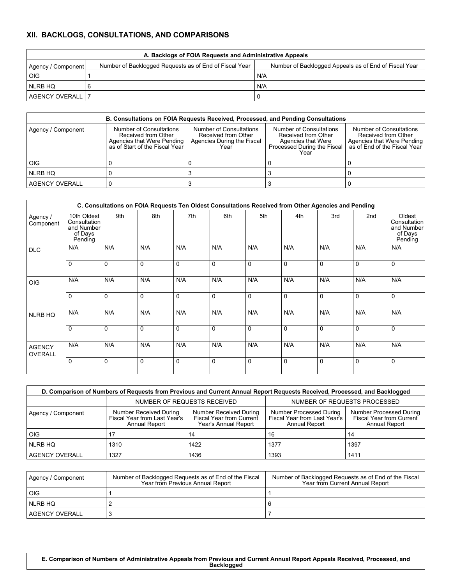# **XII. BACKLOGS, CONSULTATIONS, AND COMPARISONS**

| A. Backlogs of FOIA Requests and Administrative Appeals                                                                               |  |     |  |  |  |  |  |
|---------------------------------------------------------------------------------------------------------------------------------------|--|-----|--|--|--|--|--|
| Number of Backlogged Requests as of End of Fiscal Year<br>Number of Backlogged Appeals as of End of Fiscal Year<br>Agency / Component |  |     |  |  |  |  |  |
| OIG                                                                                                                                   |  | N/A |  |  |  |  |  |
| NLRB HQ                                                                                                                               |  | N/A |  |  |  |  |  |
| AGENCY OVERALL   7                                                                                                                    |  |     |  |  |  |  |  |

| <b>B. Consultations on FOIA Requests Received, Processed, and Pending Consultations</b> |                                                                                                                |                                                                                      |                                                                                                             |                                                                                                              |  |  |  |
|-----------------------------------------------------------------------------------------|----------------------------------------------------------------------------------------------------------------|--------------------------------------------------------------------------------------|-------------------------------------------------------------------------------------------------------------|--------------------------------------------------------------------------------------------------------------|--|--|--|
| Agency / Component                                                                      | Number of Consultations<br>Received from Other<br>Agencies that Were Pending<br>as of Start of the Fiscal Year | Number of Consultations<br>Received from Other<br>Agencies During the Fiscal<br>Year | Number of Consultations<br>Received from Other<br>Agencies that Were<br>Processed During the Fiscal<br>Year | Number of Consultations<br>Received from Other<br>Agencies that Were Pending<br>as of End of the Fiscal Year |  |  |  |
| OIG                                                                                     |                                                                                                                |                                                                                      |                                                                                                             |                                                                                                              |  |  |  |
| I NLRB HQ                                                                               |                                                                                                                |                                                                                      |                                                                                                             |                                                                                                              |  |  |  |
| AGENCY OVERALL                                                                          |                                                                                                                |                                                                                      |                                                                                                             |                                                                                                              |  |  |  |

|                          | C. Consultations on FOIA Requests Ten Oldest Consultations Received from Other Agencies and Pending |             |             |             |             |             |             |             |                 |                                                            |
|--------------------------|-----------------------------------------------------------------------------------------------------|-------------|-------------|-------------|-------------|-------------|-------------|-------------|-----------------|------------------------------------------------------------|
| Agency /<br>Component    | 10th Oldest<br>Consultation<br>and Number<br>of Days<br>Pending                                     | 9th         | 8th         | 7th         | 6th         | 5th         | 4th         | 3rd         | 2 <sub>nd</sub> | Oldest<br>Consultation<br>and Number<br>of Days<br>Pending |
| <b>DLC</b>               | N/A                                                                                                 | N/A         | N/A         | N/A         | N/A         | N/A         | N/A         | N/A         | N/A             | N/A                                                        |
|                          | $\Omega$                                                                                            | $\Omega$    | $\mathbf 0$ | $\Omega$    | $\Omega$    | $\Omega$    | $\Omega$    | $\Omega$    | $\mathbf 0$     | $\Omega$                                                   |
| OIG                      | N/A                                                                                                 | N/A         | N/A         | N/A         | N/A         | N/A         | N/A         | N/A         | N/A             | N/A                                                        |
|                          | $\Omega$                                                                                            | $\Omega$    | $\mathbf 0$ | $\mathbf 0$ | $\Omega$    | $\Omega$    | $\Omega$    | $\Omega$    | $\mathbf 0$     | $\Omega$                                                   |
| NLRB HQ                  | N/A                                                                                                 | N/A         | N/A         | N/A         | N/A         | N/A         | N/A         | N/A         | N/A             | N/A                                                        |
|                          | $\Omega$                                                                                            | $\Omega$    | $\mathbf 0$ | $\mathbf 0$ | $\mathbf 0$ | $\mathbf 0$ | $\mathbf 0$ | $\Omega$    | $\mathbf 0$     | $\mathbf 0$                                                |
| <b>AGENCY</b><br>OVERALL | N/A                                                                                                 | N/A         | N/A         | N/A         | N/A         | N/A         | N/A         | N/A         | N/A             | N/A                                                        |
|                          | $\mathbf 0$                                                                                         | $\mathbf 0$ | $\mathbf 0$ | $\mathbf 0$ | $\mathbf 0$ | $\mathbf 0$ | $\mathbf 0$ | $\mathbf 0$ | $\mathbf 0$     | $\mathbf 0$                                                |

| D. Comparison of Numbers of Requests from Previous and Current Annual Report Requests Received, Processed, and Backlogged |                                                                                |                                                                            |                                                                          |                                                                                    |  |  |  |
|---------------------------------------------------------------------------------------------------------------------------|--------------------------------------------------------------------------------|----------------------------------------------------------------------------|--------------------------------------------------------------------------|------------------------------------------------------------------------------------|--|--|--|
|                                                                                                                           | NUMBER OF REQUESTS RECEIVED                                                    |                                                                            | NUMBER OF REQUESTS PROCESSED                                             |                                                                                    |  |  |  |
| Agency / Component                                                                                                        | <b>Number Received During</b><br>Fiscal Year from Last Year's<br>Annual Report | Number Received During<br>Fiscal Year from Current<br>Year's Annual Report | Number Processed During<br>Fiscal Year from Last Year's<br>Annual Report | <b>Number Processed During</b><br>Fiscal Year from Current<br><b>Annual Report</b> |  |  |  |
| OIG                                                                                                                       |                                                                                | 14                                                                         | 16                                                                       | 14                                                                                 |  |  |  |
| I NLRB HQ                                                                                                                 | 1310                                                                           | 1422                                                                       | 1377                                                                     | 1397                                                                               |  |  |  |
| <b>AGENCY OVERALL</b>                                                                                                     | 1327                                                                           | 1436                                                                       | 1393                                                                     | 1411                                                                               |  |  |  |

| Agency / Component | Number of Backlogged Requests as of End of the Fiscal<br>Year from Previous Annual Report | Number of Backlogged Requests as of End of the Fiscal<br>Year from Current Annual Report |
|--------------------|-------------------------------------------------------------------------------------------|------------------------------------------------------------------------------------------|
| <b>OIG</b>         |                                                                                           |                                                                                          |
| NLRB HQ            |                                                                                           |                                                                                          |
| I AGENCY OVERALL   |                                                                                           |                                                                                          |